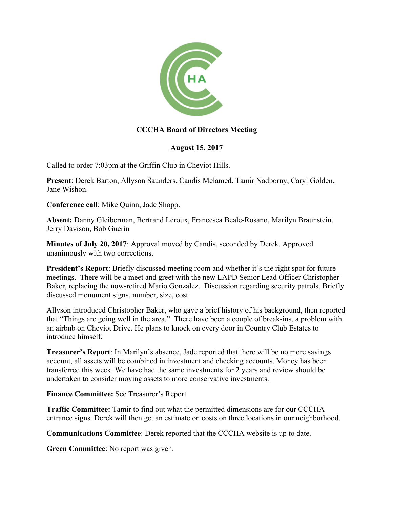

## **CCCHA Board of Directors Meeting**

## **August 15, 2017**

Called to order 7:03pm at the Griffin Club in Cheviot Hills.

**Present**: Derek Barton, Allyson Saunders, Candis Melamed, Tamir Nadborny, Caryl Golden, Jane Wishon.

**Conference call**: Mike Quinn, Jade Shopp.

**Absent:** Danny Gleiberman, Bertrand Leroux, Francesca Beale-Rosano, Marilyn Braunstein, Jerry Davison, Bob Guerin

**Minutes of July 20, 2017**: Approval moved by Candis, seconded by Derek. Approved unanimously with two corrections.

**President's Report**: Briefly discussed meeting room and whether it's the right spot for future meetings. There will be a meet and greet with the new LAPD Senior Lead Officer Christopher Baker, replacing the now-retired Mario Gonzalez. Discussion regarding security patrols. Briefly discussed monument signs, number, size, cost.

Allyson introduced Christopher Baker, who gave a brief history of his background, then reported that "Things are going well in the area." There have been a couple of break-ins, a problem with an airbnb on Cheviot Drive. He plans to knock on every door in Country Club Estates to introduce himself.

**Treasurer's Report**: In Marilyn's absence, Jade reported that there will be no more savings account, all assets will be combined in investment and checking accounts. Money has been transferred this week. We have had the same investments for 2 years and review should be undertaken to consider moving assets to more conservative investments.

**Finance Committee:** See Treasurer's Report

**Traffic Committee:** Tamir to find out what the permitted dimensions are for our CCCHA entrance signs. Derek will then get an estimate on costs on three locations in our neighborhood.

**Communications Committee**: Derek reported that the CCCHA website is up to date.

**Green Committee**: No report was given.